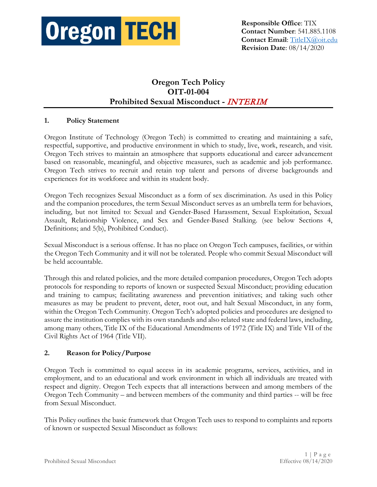

# **Oregon Tech Policy OIT-01-004 Prohibited Sexual Misconduct -** INTERIM

#### **1. Policy Statement**

Oregon Institute of Technology (Oregon Tech) is committed to creating and maintaining a safe, respectful, supportive, and productive environment in which to study, live, work, research, and visit. Oregon Tech strives to maintain an atmosphere that supports educational and career advancement based on reasonable, meaningful, and objective measures, such as academic and job performance. Oregon Tech strives to recruit and retain top talent and persons of diverse backgrounds and experiences for its workforce and within its student body.

Oregon Tech recognizes Sexual Misconduct as a form of sex discrimination. As used in this Policy and the companion procedures, the term Sexual Misconduct serves as an umbrella term for behaviors, including, but not limited to: Sexual and Gender-Based Harassment, Sexual Exploitation, Sexual Assault, Relationship Violence, and Sex and Gender-Based Stalking. (see below Sections 4, Definitions; and 5(b), Prohibited Conduct).

Sexual Misconduct is a serious offense. It has no place on Oregon Tech campuses, facilities, or within the Oregon Tech Community and it will not be tolerated. People who commit Sexual Misconduct will be held accountable.

Through this and related policies, and the more detailed companion procedures, Oregon Tech adopts protocols for responding to reports of known or suspected Sexual Misconduct; providing education and training to campus; facilitating awareness and prevention initiatives; and taking such other measures as may be prudent to prevent, deter, root out, and halt Sexual Misconduct, in any form, within the Oregon Tech Community. Oregon Tech's adopted policies and procedures are designed to assure the institution complies with its own standards and also related state and federal laws, including, among many others, Title IX of the Educational Amendments of 1972 (Title IX) and Title VII of the Civil Rights Act of 1964 (Title VII).

#### **2. Reason for Policy/Purpose**

Oregon Tech is committed to equal access in its academic programs, services, activities, and in employment, and to an educational and work environment in which all individuals are treated with respect and dignity. Oregon Tech expects that all interactions between and among members of the Oregon Tech Community – and between members of the community and third parties -- will be free from Sexual Misconduct.

This Policy outlines the basic framework that Oregon Tech uses to respond to complaints and reports of known or suspected Sexual Misconduct as follows: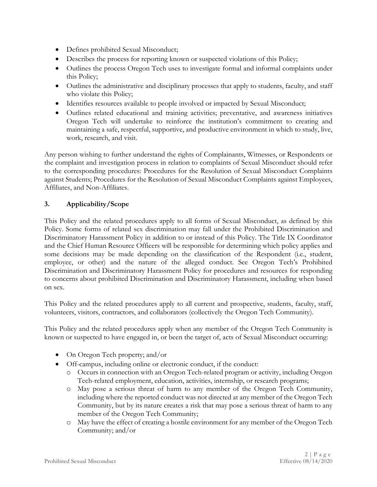- Defines prohibited Sexual Misconduct;
- Describes the process for reporting known or suspected violations of this Policy;
- Outlines the process Oregon Tech uses to investigate formal and informal complaints under this Policy;
- Outlines the administrative and disciplinary processes that apply to students, faculty, and staff who violate this Policy;
- Identifies resources available to people involved or impacted by Sexual Misconduct;
- Outlines related educational and training activities; preventative, and awareness initiatives Oregon Tech will undertake to reinforce the institution's commitment to creating and maintaining a safe, respectful, supportive, and productive environment in which to study, live, work, research, and visit.

Any person wishing to further understand the rights of Complainants, Witnesses, or Respondents or the complaint and investigation process in relation to complaints of Sexual Misconduct should refer to the corresponding procedures: Procedures for the Resolution of Sexual Misconduct Complaints against Students; Procedures for the Resolution of Sexual Misconduct Complaints against Employees, Affiliates, and Non-Affiliates.

#### **3. Applicability/Scope**

This Policy and the related procedures apply to all forms of Sexual Misconduct, as defined by this Policy. Some forms of related sex discrimination may fall under the Prohibited Discrimination and Discriminatory Harassment Policy in addition to or instead of this Policy. The Title IX Coordinator and the Chief Human Resource Officers will be responsible for determining which policy applies and some decisions may be made depending on the classification of the Respondent (i.e., student, employee, or other) and the nature of the alleged conduct. See Oregon Tech's Prohibited Discrimination and Discriminatory Harassment Policy for procedures and resources for responding to concerns about prohibited Discrimination and Discriminatory Harassment, including when based on sex.

This Policy and the related procedures apply to all current and prospective, students, faculty, staff, volunteers, visitors, contractors, and collaborators (collectively the Oregon Tech Community).

This Policy and the related procedures apply when any member of the Oregon Tech Community is known or suspected to have engaged in, or been the target of, acts of Sexual Misconduct occurring:

- On Oregon Tech property; and/or
- Off-campus, including online or electronic conduct, if the conduct:
	- o Occurs in connection with an Oregon Tech-related program or activity, including Oregon Tech-related employment, education, activities, internship, or research programs;
	- o May pose a serious threat of harm to any member of the Oregon Tech Community, including where the reported conduct was not directed at any member of the Oregon Tech Community, but by its nature creates a risk that may pose a serious threat of harm to any member of the Oregon Tech Community;
	- o May have the effect of creating a hostile environment for any member of the Oregon Tech Community; and/or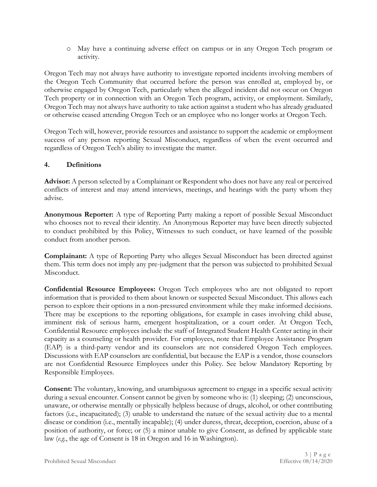o May have a continuing adverse effect on campus or in any Oregon Tech program or activity.

Oregon Tech may not always have authority to investigate reported incidents involving members of the Oregon Tech Community that occurred before the person was enrolled at, employed by, or otherwise engaged by Oregon Tech, particularly when the alleged incident did not occur on Oregon Tech property or in connection with an Oregon Tech program, activity, or employment. Similarly, Oregon Tech may not always have authority to take action against a student who has already graduated or otherwise ceased attending Oregon Tech or an employee who no longer works at Oregon Tech.

Oregon Tech will, however, provide resources and assistance to support the academic or employment success of any person reporting Sexual Misconduct, regardless of when the event occurred and regardless of Oregon Tech's ability to investigate the matter.

#### **4. Definitions**

**Advisor:** A person selected by a Complainant or Respondent who does not have any real or perceived conflicts of interest and may attend interviews, meetings, and hearings with the party whom they advise.

**Anonymous Reporter:** A type of Reporting Party making a report of possible Sexual Misconduct who chooses not to reveal their identity. An Anonymous Reporter may have been directly subjected to conduct prohibited by this Policy, Witnesses to such conduct, or have learned of the possible conduct from another person.

**Complainant:** A type of Reporting Party who alleges Sexual Misconduct has been directed against them. This term does not imply any pre-judgment that the person was subjected to prohibited Sexual Misconduct.

**Confidential Resource Employees:** Oregon Tech employees who are not obligated to report information that is provided to them about known or suspected Sexual Misconduct. This allows each person to explore their options in a non-pressured environment while they make informed decisions. There may be exceptions to the reporting obligations, for example in cases involving child abuse, imminent risk of serious harm, emergent hospitalization, or a court order. At Oregon Tech, Confidential Resource employees include the staff of Integrated Student Health Center acting in their capacity as a counseling or health provider. For employees, note that Employee Assistance Program (EAP) is a third-party vendor and its counselors are not considered Oregon Tech employees. Discussions with EAP counselors are confidential, but because the EAP is a vendor, those counselors are not Confidential Resource Employees under this Policy. See below Mandatory Reporting by Responsible Employees.

**Consent:** The voluntary, knowing, and unambiguous agreement to engage in a specific sexual activity during a sexual encounter. Consent cannot be given by someone who is: (1) sleeping; (2) unconscious, unaware, or otherwise mentally or physically helpless because of drugs, alcohol, or other contributing factors (i.e., incapacitated); (3) unable to understand the nature of the sexual activity due to a mental disease or condition (i.e., mentally incapable); (4) under duress, threat, deception, coercion, abuse of a position of authority, or force; or (5) a minor unable to give Consent, as defined by applicable state law (*e.g.*, the age of Consent is 18 in Oregon and 16 in Washington).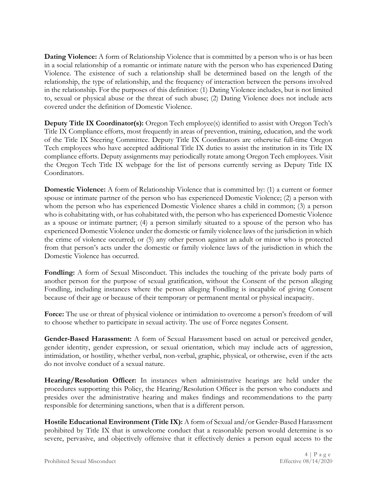**Dating Violence:** A form of Relationship Violence that is committed by a person who is or has been in a social relationship of a romantic or intimate nature with the person who has experienced Dating Violence. The existence of such a relationship shall be determined based on the length of the relationship, the type of relationship, and the frequency of interaction between the persons involved in the relationship. For the purposes of this definition: (1) Dating Violence includes, but is not limited to, sexual or physical abuse or the threat of such abuse; (2) Dating Violence does not include acts covered under the definition of Domestic Violence.

**Deputy Title IX Coordinator(s):** Oregon Tech employee(s) identified to assist with Oregon Tech's Title IX Compliance efforts, most frequently in areas of prevention, training, education, and the work of the Title IX Steering Committee. Deputy Title IX Coordinators are otherwise full-time Oregon Tech employees who have accepted additional Title IX duties to assist the institution in its Title IX compliance efforts. Deputy assignments may periodically rotate among Oregon Tech employees. Visit the Oregon Tech Title IX webpage for the list of persons currently serving as Deputy Title IX Coordinators.

**Domestic Violence:** A form of Relationship Violence that is committed by: (1) a current or former spouse or intimate partner of the person who has experienced Domestic Violence; (2) a person with whom the person who has experienced Domestic Violence shares a child in common; (3) a person who is cohabitating with, or has cohabitated with, the person who has experienced Domestic Violence as a spouse or intimate partner; (4) a person similarly situated to a spouse of the person who has experienced Domestic Violence under the domestic or family violence laws of the jurisdiction in which the crime of violence occurred; or (5) any other person against an adult or minor who is protected from that person's acts under the domestic or family violence laws of the jurisdiction in which the Domestic Violence has occurred.

**Fondling:** A form of Sexual Misconduct. This includes the touching of the private body parts of another person for the purpose of sexual gratification, without the Consent of the person alleging Fondling, including instances where the person alleging Fondling is incapable of giving Consent because of their age or because of their temporary or permanent mental or physical incapacity.

Force: The use or threat of physical violence or intimidation to overcome a person's freedom of will to choose whether to participate in sexual activity. The use of Force negates Consent.

**Gender-Based Harassment:** A form of Sexual Harassment based on actual or perceived gender, gender identity, gender expression, or sexual orientation, which may include acts of aggression, intimidation, or hostility, whether verbal, non-verbal, graphic, physical, or otherwise, even if the acts do not involve conduct of a sexual nature.

**Hearing/Resolution Officer:** In instances when administrative hearings are held under the procedures supporting this Policy, the Hearing/Resolution Officer is the person who conducts and presides over the administrative hearing and makes findings and recommendations to the party responsible for determining sanctions, when that is a different person.

**Hostile Educational Environment (Title IX):** A form of Sexual and/or Gender-Based Harassment prohibited by Title IX that is unwelcome conduct that a reasonable person would determine is so severe, pervasive, and objectively offensive that it effectively denies a person equal access to the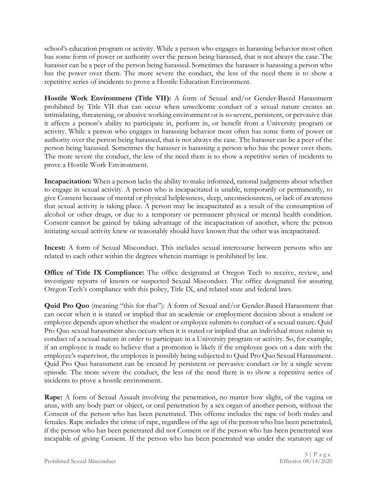school's education program or activity. While a person who engages in harassing behavior most often has some form of power or authority over the person being harassed, that is not always the case. The harasser can be a peer of the person being harassed. Sometimes the harasser is harassing a person who has the power over them. The more severe the conduct, the less of the need there is to show a repetitive series of incidents to prove a Hostile Education Environment.

**Hostile Work Environment (Title VII):** A form of Sexual and/or Gender-Based Harassment prohibited by Title VII that can occur when unwelcome conduct of a sexual nature creates an intimidating, threatening, or abusive working environment or is so severe, persistent, or pervasive that it affects a person's ability to participate in, perform in, or benefit from a University program or activity. While a person who engages in harassing behavior most often has some form of power or authority over the person being harassed, that is not always the case. The harasser can be a peer of the person being harassed. Sometimes the harasser is harassing a person who has the power over them. The more severe the conduct, the less of the need there is to show a repetitive series of incidents to prove a Hostile Work Environment.

**Incapacitation:** When a person lacks the ability to make informed, rational judgments about whether to engage in sexual activity. A person who is incapacitated is unable, temporarily or permanently, to give Consent because of mental or physical helplessness, sleep, unconsciousness, or lack of awareness that sexual activity is taking place. A person may be incapacitated as a result of the consumption of alcohol or other drugs, or due to a temporary or permanent physical or mental health condition. Consent cannot be gained by taking advantage of the incapacitation of another, where the person initiating sexual activity knew or reasonably should have known that the other was incapacitated.

**Incest:** A form of Sexual Misconduct. This includes sexual intercourse between persons who are related to each other within the degrees wherein marriage is prohibited by law.

**Office of Title IX Compliance:** The office designated at Oregon Tech to receive, review, and investigate reports of known or suspected Sexual Misconduct. The office designated for assuring Oregon Tech's compliance with this policy, Title IX, and related state and federal laws.

**Quid Pro Quo** (meaning "this for that"): A form of Sexual and/or Gender-Based Harassment that can occur when it is stated or implied that an academic or employment decision about a student or employee depends upon whether the student or employee submits to conduct of a sexual nature. Quid Pro Quo sexual harassment also occurs when it is stated or implied that an individual must submit to conduct of a sexual nature in order to participate in a University program or activity. So, for example, if an employee is made to believe that a promotion is likely if the employee goes on a date with the employee's supervisor, the employee is possibly being subjected to Quid Pro Quo Sexual Harassment. Quid Pro Quo harassment can be created by persistent or pervasive conduct or by a single severe episode. The more severe the conduct, the less of the need there is to show a repetitive series of incidents to prove a hostile environment.

**Rape:** A form of Sexual Assault involving the penetration, no matter how slight, of the vagina or anus, with any body part or object, or oral penetration by a sex organ of another person, without the Consent of the person who has been penetrated. This offense includes the rape of both males and females. Rape includes the crime of rape, regardless of the age of the person who has been penetrated, if the person who has been penetrated did not Consent or if the person who has been penetrated was incapable of giving Consent. If the person who has been penetrated was under the statutory age of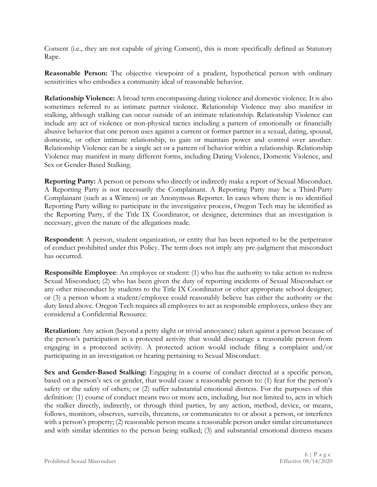Consent (i.e., they are not capable of giving Consent), this is more specifically defined as Statutory Rape.

**Reasonable Person:** The objective viewpoint of a prudent, hypothetical person with ordinary sensitivities who embodies a community ideal of reasonable behavior.

**Relationship Violence:** A broad term encompassing dating violence and domestic violence. It is also sometimes referred to as intimate partner violence. Relationship Violence may also manifest in stalking, although stalking can occur outside of an intimate relationship. Relationship Violence can include any act of violence or non-physical tactics including a pattern of emotionally or financially abusive behavior that one person uses against a current or former partner in a sexual, dating, spousal, domestic, or other intimate relationship, to gain or maintain power and control over another. Relationship Violence can be a single act or a pattern of behavior within a relationship. Relationship Violence may manifest in many different forms, including Dating Violence, Domestic Violence, and Sex or Gender-Based Stalking.

**Reporting Party:** A person or persons who directly or indirectly make a report of Sexual Misconduct. A Reporting Party is not necessarily the Complainant. A Reporting Party may be a Third-Party Complainant (such as a Witness) or an Anonymous Reporter. In cases where there is no identified Reporting Party willing to participate in the investigative process, Oregon Tech may be identified as the Reporting Party, if the Title IX Coordinator, or designee, determines that an investigation is necessary, given the nature of the allegations made.

**Respondent:** A person, student organization, or entity that has been reported to be the perpetrator of conduct prohibited under this Policy. The term does not imply any pre-judgment that misconduct has occurred.

**Responsible Employee**: An employee or student: (1) who has the authority to take action to redress Sexual Misconduct; (2) who has been given the duty of reporting incidents of Sexual Misconduct or any other misconduct by students to the Title IX Coordinator or other appropriate school designee; or (3) a person whom a student/employee could reasonably believe has either the authority or the duty listed above. Oregon Tech requires all employees to act as responsible employees, unless they are considered a Confidential Resource.

**Retaliation:** Any action (beyond a petty slight or trivial annoyance) taken against a person because of the person's participation in a protected activity that would discourage a reasonable person from engaging in a protected activity. A protected action would include filing a complaint and/or participating in an investigation or hearing pertaining to Sexual Misconduct.

**Sex and Gender-Based Stalking:** Engaging in a course of conduct directed at a specific person, based on a person's sex or gender, that would cause a reasonable person to: (1) fear for the person's safety or the safety of others; or (2) suffer substantial emotional distress. For the purposes of this definition: (1) course of conduct means two or more acts, including, but not limited to, acts in which the stalker directly, indirectly, or through third parties, by any action, method, device, or means, follows, monitors, observes, surveils, threatens, or communicates to or about a person, or interferes with a person's property; (2) reasonable person means a reasonable person under similar circumstances and with similar identities to the person being stalked; (3) and substantial emotional distress means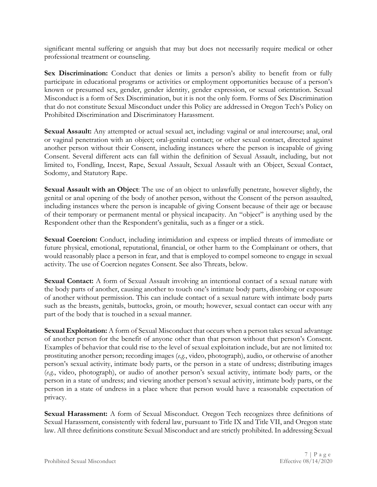significant mental suffering or anguish that may but does not necessarily require medical or other professional treatment or counseling.

**Sex Discrimination:** Conduct that denies or limits a person's ability to benefit from or fully participate in educational programs or activities or employment opportunities because of a person's known or presumed sex, gender, gender identity, gender expression, or sexual orientation. Sexual Misconduct is a form of Sex Discrimination, but it is not the only form. Forms of Sex Discrimination that do not constitute Sexual Misconduct under this Policy are addressed in Oregon Tech's Policy on Prohibited Discrimination and Discriminatory Harassment.

**Sexual Assault:** Any attempted or actual sexual act, including: vaginal or anal intercourse; anal, oral or vaginal penetration with an object; oral-genital contact; or other sexual contact, directed against another person without their Consent, including instances where the person is incapable of giving Consent. Several different acts can fall within the definition of Sexual Assault, including, but not limited to, Fondling, Incest, Rape, Sexual Assault, Sexual Assault with an Object, Sexual Contact, Sodomy, and Statutory Rape.

**Sexual Assault with an Object**: The use of an object to unlawfully penetrate, however slightly, the genital or anal opening of the body of another person, without the Consent of the person assaulted, including instances where the person is incapable of giving Consent because of their age or because of their temporary or permanent mental or physical incapacity. An "object" is anything used by the Respondent other than the Respondent's genitalia, such as a finger or a stick.

**Sexual Coercion:** Conduct, including intimidation and express or implied threats of immediate or future physical, emotional, reputational, financial, or other harm to the Complainant or others, that would reasonably place a person in fear, and that is employed to compel someone to engage in sexual activity. The use of Coercion negates Consent. See also Threats, below.

**Sexual Contact:** A form of Sexual Assault involving an intentional contact of a sexual nature with the body parts of another, causing another to touch one's intimate body parts, disrobing or exposure of another without permission. This can include contact of a sexual nature with intimate body parts such as the breasts, genitals, buttocks, groin, or mouth; however, sexual contact can occur with any part of the body that is touched in a sexual manner.

**Sexual Exploitation:** A form of Sexual Misconduct that occurs when a person takes sexual advantage of another person for the benefit of anyone other than that person without that person's Consent. Examples of behavior that could rise to the level of sexual exploitation include, but are not limited to: prostituting another person; recording images (*e.g.*, video, photograph), audio, or otherwise of another person's sexual activity, intimate body parts, or the person in a state of undress; distributing images (*e.g.*, video, photograph), or audio of another person's sexual activity, intimate body parts, or the person in a state of undress; and viewing another person's sexual activity, intimate body parts, or the person in a state of undress in a place where that person would have a reasonable expectation of privacy.

**Sexual Harassment:** A form of Sexual Misconduct. Oregon Tech recognizes three definitions of Sexual Harassment, consistently with federal law, pursuant to Title IX and Title VII, and Oregon state law. All three definitions constitute Sexual Misconduct and are strictly prohibited. In addressing Sexual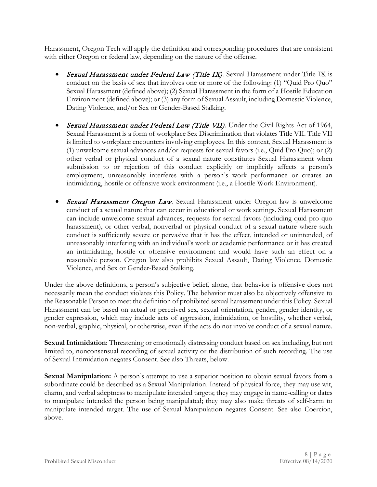Harassment, Oregon Tech will apply the definition and corresponding procedures that are consistent with either Oregon or federal law, depending on the nature of the offense.

- Sexual Harassment under Federal Law (Title IX). Sexual Harassment under Title IX is conduct on the basis of sex that involves one or more of the following: (1) "Quid Pro Quo" Sexual Harassment (defined above); (2) Sexual Harassment in the form of a Hostile Education Environment (defined above); or (3) any form of Sexual Assault, including Domestic Violence, Dating Violence, and/or Sex or Gender-Based Stalking.
- Sexual Harassment under Federal Law (Title VII). Under the Civil Rights Act of 1964, Sexual Harassment is a form of workplace Sex Discrimination that violates Title VII. Title VII is limited to workplace encounters involving employees. In this context, Sexual Harassment is (1) unwelcome sexual advances and/or requests for sexual favors (i.e., Quid Pro Quo); or (2) other verbal or physical conduct of a sexual nature constitutes Sexual Harassment when submission to or rejection of this conduct explicitly or implicitly affects a person's employment, unreasonably interferes with a person's work performance or creates an intimidating, hostile or offensive work environment (i.e., a Hostile Work Environment).
- Sexual Harassment Oregon Law*.* Sexual Harassment under Oregon law is unwelcome conduct of a sexual nature that can occur in educational or work settings. Sexual Harassment can include unwelcome sexual advances, requests for sexual favors (including quid pro quo harassment), or other verbal, nonverbal or physical conduct of a sexual nature where such conduct is sufficiently severe or pervasive that it has the effect, intended or unintended, of unreasonably interfering with an individual's work or academic performance or it has created an intimidating, hostile or offensive environment and would have such an effect on a reasonable person. Oregon law also prohibits Sexual Assault, Dating Violence, Domestic Violence, and Sex or Gender-Based Stalking.

Under the above definitions, a person's subjective belief, alone, that behavior is offensive does not necessarily mean the conduct violates this Policy. The behavior must also be objectively offensive to the Reasonable Person to meet the definition of prohibited sexual harassment under this Policy. Sexual Harassment can be based on actual or perceived sex, sexual orientation, gender, gender identity, or gender expression, which may include acts of aggression, intimidation, or hostility, whether verbal, non-verbal, graphic, physical, or otherwise, even if the acts do not involve conduct of a sexual nature.

**Sexual Intimidation**: Threatening or emotionally distressing conduct based on sex including, but not limited to, nonconsensual recording of sexual activity or the distribution of such recording. The use of Sexual Intimidation negates Consent. See also Threats, below.

**Sexual Manipulation:** A person's attempt to use a superior position to obtain sexual favors from a subordinate could be described as a Sexual Manipulation. Instead of physical force, they may use wit, charm, and verbal adeptness to manipulate intended targets; they may engage in name-calling or dates to manipulate intended the person being manipulated; they may also make threats of self-harm to manipulate intended target. The use of Sexual Manipulation negates Consent. See also Coercion, above.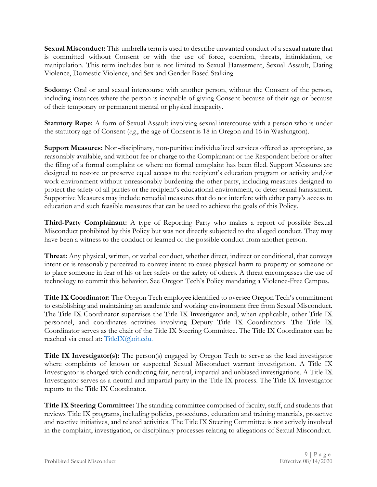**Sexual Misconduct:** This umbrella term is used to describe unwanted conduct of a sexual nature that is committed without Consent or with the use of force, coercion, threats, intimidation, or manipulation. This term includes but is not limited to Sexual Harassment, Sexual Assault, Dating Violence, Domestic Violence, and Sex and Gender-Based Stalking.

**Sodomy:** Oral or anal sexual intercourse with another person, without the Consent of the person, including instances where the person is incapable of giving Consent because of their age or because of their temporary or permanent mental or physical incapacity.

**Statutory Rape:** A form of Sexual Assault involving sexual intercourse with a person who is under the statutory age of Consent (*e.g.*, the age of Consent is 18 in Oregon and 16 in Washington).

**Support Measures:** Non-disciplinary, non-punitive individualized services offered as appropriate, as reasonably available, and without fee or charge to the Complainant or the Respondent before or after the filing of a formal complaint or where no formal complaint has been filed. Support Measures are designed to restore or preserve equal access to the recipient's education program or activity and/or work environment without unreasonably burdening the other party, including measures designed to protect the safety of all parties or the recipient's educational environment, or deter sexual harassment. Supportive Measures may include remedial measures that do not interfere with either party's access to education and such feasible measures that can be used to achieve the goals of this Policy.

**Third-Party Complainant:** A type of Reporting Party who makes a report of possible Sexual Misconduct prohibited by this Policy but was not directly subjected to the alleged conduct. They may have been a witness to the conduct or learned of the possible conduct from another person.

**Threat:** Any physical, written, or verbal conduct, whether direct, indirect or conditional, that conveys intent or is reasonably perceived to convey intent to cause physical harm to property or someone or to place someone in fear of his or her safety or the safety of others. A threat encompasses the use of technology to commit this behavior. See Oregon Tech's Policy mandating a Violence-Free Campus.

**Title IX Coordinator:** The Oregon Tech employee identified to oversee Oregon Tech's commitment to establishing and maintaining an academic and working environment free from Sexual Misconduct. The Title IX Coordinator supervises the Title IX Investigator and, when applicable, other Title IX personnel, and coordinates activities involving Deputy Title IX Coordinators. The Title IX Coordinator serves as the chair of the Title IX Steering Committee. The Title IX Coordinator can be reached via email at: [TitleIX@oit.edu.](mailto:TitleIX@oit.edu)

**Title IX Investigator(s):** The person(s) engaged by Oregon Tech to serve as the lead investigator where complaints of known or suspected Sexual Misconduct warrant investigation. A Title IX Investigator is charged with conducting fair, neutral, impartial and unbiased investigations. A Title IX Investigator serves as a neutral and impartial party in the Title IX process. The Title IX Investigator reports to the Title IX Coordinator.

**Title IX Steering Committee:** The standing committee comprised of faculty, staff, and students that reviews Title IX programs, including policies, procedures, education and training materials, proactive and reactive initiatives, and related activities. The Title IX Steering Committee is not actively involved in the complaint, investigation, or disciplinary processes relating to allegations of Sexual Misconduct.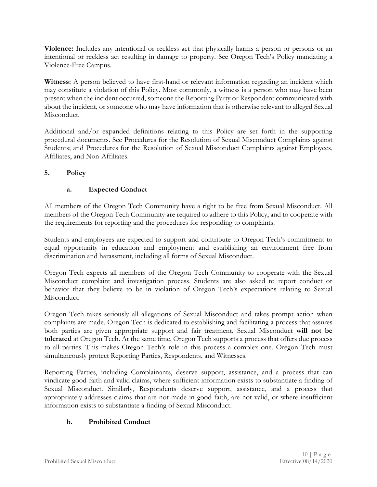**Violence:** Includes any intentional or reckless act that physically harms a person or persons or an intentional or reckless act resulting in damage to property. See Oregon Tech's Policy mandating a Violence-Free Campus.

Witness: A person believed to have first-hand or relevant information regarding an incident which may constitute a violation of this Policy. Most commonly, a witness is a person who may have been present when the incident occurred, someone the Reporting Party or Respondent communicated with about the incident, or someone who may have information that is otherwise relevant to alleged Sexual Misconduct.

Additional and/or expanded definitions relating to this Policy are set forth in the supporting procedural documents. See Procedures for the Resolution of Sexual Misconduct Complaints against Students; and Procedures for the Resolution of Sexual Misconduct Complaints against Employees, Affiliates, and Non-Affiliates.

### **5. Policy**

### **a. Expected Conduct**

All members of the Oregon Tech Community have a right to be free from Sexual Misconduct. All members of the Oregon Tech Community are required to adhere to this Policy, and to cooperate with the requirements for reporting and the procedures for responding to complaints.

Students and employees are expected to support and contribute to Oregon Tech's commitment to equal opportunity in education and employment and establishing an environment free from discrimination and harassment, including all forms of Sexual Misconduct.

Oregon Tech expects all members of the Oregon Tech Community to cooperate with the Sexual Misconduct complaint and investigation process. Students are also asked to report conduct or behavior that they believe to be in violation of Oregon Tech's expectations relating to Sexual Misconduct.

Oregon Tech takes seriously all allegations of Sexual Misconduct and takes prompt action when complaints are made. Oregon Tech is dedicated to establishing and facilitating a process that assures both parties are given appropriate support and fair treatment. Sexual Misconduct **will not be tolerated** at Oregon Tech. At the same time, Oregon Tech supports a process that offers due process to all parties. This makes Oregon Tech's role in this process a complex one. Oregon Tech must simultaneously protect Reporting Parties, Respondents, and Witnesses.

Reporting Parties, including Complainants, deserve support, assistance, and a process that can vindicate good-faith and valid claims, where sufficient information exists to substantiate a finding of Sexual Misconduct. Similarly, Respondents deserve support, assistance, and a process that appropriately addresses claims that are not made in good faith, are not valid, or where insufficient information exists to substantiate a finding of Sexual Misconduct.

### **b. Prohibited Conduct**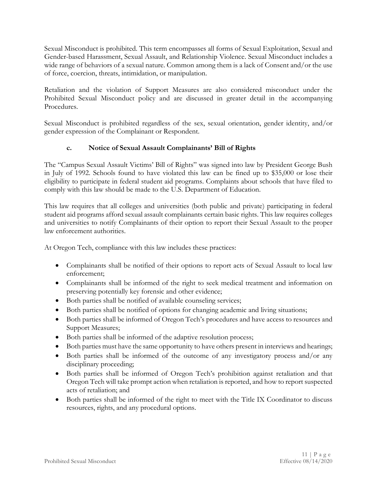Sexual Misconduct is prohibited. This term encompasses all forms of Sexual Exploitation, Sexual and Gender-based Harassment, Sexual Assault, and Relationship Violence. Sexual Misconduct includes a wide range of behaviors of a sexual nature. Common among them is a lack of Consent and/or the use of force, coercion, threats, intimidation, or manipulation.

Retaliation and the violation of Support Measures are also considered misconduct under the Prohibited Sexual Misconduct policy and are discussed in greater detail in the accompanying Procedures.

Sexual Misconduct is prohibited regardless of the sex, sexual orientation, gender identity, and/or gender expression of the Complainant or Respondent.

### **c. Notice of Sexual Assault Complainants' Bill of Rights**

The "Campus Sexual Assault Victims' Bill of Rights" was signed into law by President George Bush in July of 1992. Schools found to have violated this law can be fined up to \$35,000 or lose their eligibility to participate in federal student aid programs. Complaints about schools that have filed to comply with this law should be made to the U.S. Department of Education.

This law requires that all colleges and universities (both public and private) participating in federal student aid programs afford sexual assault complainants certain basic rights. This law requires colleges and universities to notify Complainants of their option to report their Sexual Assault to the proper law enforcement authorities.

At Oregon Tech, compliance with this law includes these practices:

- Complainants shall be notified of their options to report acts of Sexual Assault to local law enforcement;
- Complainants shall be informed of the right to seek medical treatment and information on preserving potentially key forensic and other evidence;
- Both parties shall be notified of available counseling services;
- Both parties shall be notified of options for changing academic and living situations;
- Both parties shall be informed of Oregon Tech's procedures and have access to resources and Support Measures;
- Both parties shall be informed of the adaptive resolution process;
- Both parties must have the same opportunity to have others present in interviews and hearings;
- Both parties shall be informed of the outcome of any investigatory process and/or any disciplinary proceeding;
- Both parties shall be informed of Oregon Tech's prohibition against retaliation and that Oregon Tech will take prompt action when retaliation is reported, and how to report suspected acts of retaliation; and
- Both parties shall be informed of the right to meet with the Title IX Coordinator to discuss resources, rights, and any procedural options.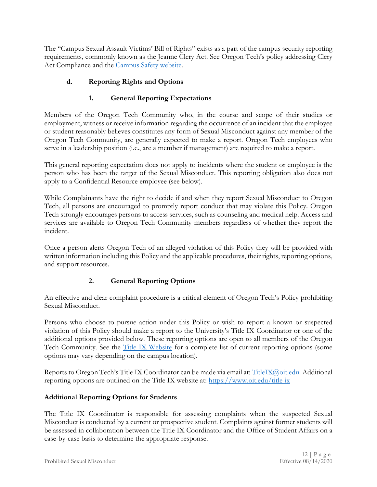The "Campus Sexual Assault Victims' Bill of Rights" exists as a part of the campus security reporting requirements, commonly known as the Jeanne Clery Act. See Oregon Tech's policy addressing Clery Act Compliance and the [Campus Safety website.](https://www.oit.edu/faculty-staff/campus-safety)

## **d. Reporting Rights and Options**

## **1. General Reporting Expectations**

Members of the Oregon Tech Community who, in the course and scope of their studies or employment, witness or receive information regarding the occurrence of an incident that the employee or student reasonably believes constitutes any form of Sexual Misconduct against any member of the Oregon Tech Community, are generally expected to make a report. Oregon Tech employees who serve in a leadership position (i.e., are a member if management) are required to make a report.

This general reporting expectation does not apply to incidents where the student or employee is the person who has been the target of the Sexual Misconduct. This reporting obligation also does not apply to a Confidential Resource employee (see below).

While Complainants have the right to decide if and when they report Sexual Misconduct to Oregon Tech, all persons are encouraged to promptly report conduct that may violate this Policy. Oregon Tech strongly encourages persons to access services, such as counseling and medical help. Access and services are available to Oregon Tech Community members regardless of whether they report the incident.

Once a person alerts Oregon Tech of an alleged violation of this Policy they will be provided with written information including this Policy and the applicable procedures, their rights, reporting options, and support resources.

# **2. General Reporting Options**

An effective and clear complaint procedure is a critical element of Oregon Tech's Policy prohibiting Sexual Misconduct.

Persons who choose to pursue action under this Policy or wish to report a known or suspected violation of this Policy should make a report to the University's Title IX Coordinator or one of the additional options provided below. These reporting options are open to all members of the Oregon Tech Community. See the <u>Title IX Website</u> for a complete list of current reporting options (some options may vary depending on the campus location).

Reports to Oregon Tech's Title IX Coordinator can be made via email at: [TitleIX@oit.edu.](mailto:TitleIX@oit.edu) Additional reporting options are outlined on the Title IX website at:<https://www.oit.edu/title-ix>

## **Additional Reporting Options for Students**

The Title IX Coordinator is responsible for assessing complaints when the suspected Sexual Misconduct is conducted by a current or prospective student. Complaints against former students will be assessed in collaboration between the Title IX Coordinator and the Office of Student Affairs on a case-by-case basis to determine the appropriate response.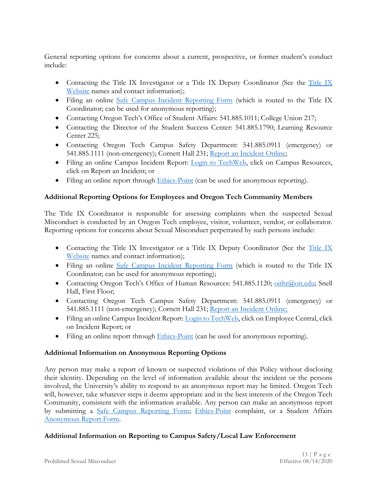General reporting options for concerns about a current, prospective, or former student's conduct include:

- Contacting the [Title IX](https://www.oit.edu/title-ix) Investigator or a Title IX Deputy Coordinator (See the Title IX [Website](https://www.oit.edu/title-ix) names and contact information);
- Filing an online [Safe Campus Incident Reporting Form](https://oit.co1.qualtrics.com/jfe/form/SV_6kQzMoflfbHfF1H) (which is routed to the Title IX Coordinator; can be used for anonymous reporting);
- Contacting Oregon Tech's Office of Student Affairs: 541.885.1011; College Union 217;
- Contacting the Director of the Student Success Center: 541.885.1790; Learning Resource Center 225;
- Contacting Oregon Tech Campus Safety Department: 541.885.0911 (emergency) or 541.885.1111 (non-emergency); Cornett Hall 231; [Report an Incident Online;](https://www.oit.edu/faculty-staff/campus-safety)
- Filing an online Campus Incident Report: [Login to TechWeb,](https://techweb.oit.edu/employee-central/incident-report) click on Campus Resources, click on Report an Incident; or
- Filing an online report through [Ethics-Point](https://secure.ethicspoint.com/domain/en/report_company.asp?clientid=44102&override=yes&agreement=no) (can be used for anonymous reporting).

### **Additional Reporting Options for Employees and Oregon Tech Community Members**

The Title IX Coordinator is responsible for assessing complaints when the suspected Sexual Misconduct is conducted by an Oregon Tech employee, visitor, volunteer, vendor, or collaborator. Reporting options for concerns about Sexual Misconduct perpetrated by such persons include:

- Contacting the [Title IX](https://www.oit.edu/title-ix) Investigator or a Title IX Deputy Coordinator (See the Title IX [Website](https://www.oit.edu/title-ix) names and contact information);
- Filing an online [Safe Campus Incident Reporting Form](https://oit.co1.qualtrics.com/jfe/form/SV_6kQzMoflfbHfF1H) (which is routed to the Title IX Coordinator; can be used for anonymous reporting);
- Contacting Oregon Tech's Office of Human Resources: 541.885.1120; [oithr@oit.edu;](mailto:oithr@oit.edu) Snell Hall, First Floor;
- Contacting Oregon Tech Campus Safety Department: 541.885.0911 (emergency) or 541.885.1111 (non-emergency); Cornett Hall 231; [Report an Incident Online;](https://www.oit.edu/faculty-staff/campus-safety)
- Filing an online Campus Incident Report[: Login to TechWeb,](https://techweb.oit.edu/employee-central/incident-report) click on Employee Central, click on Incident Report; or
- Filing an online report through  $E$ thics-Point (can be used for anonymous reporting).

## **Additional Information on Anonymous Reporting Options**

Any person may make a report of known or suspected violations of this Policy without disclosing their identity. Depending on the level of information available about the incident or the persons involved, the University's ability to respond to an anonymous report may be limited. Oregon Tech will, however, take whatever steps it deems appropriate and in the best interests of the Oregon Tech Community, consistent with the information available. Any person can make an anonymous report by submitting a [Safe Campus Reporting Form;](https://oit.co1.qualtrics.com/jfe/form/SV_6kQzMoflfbHfF1H?Q_JFE=qdg) [Ethics-Point](https://secure.ethicspoint.com/domain/en/report_company.asp?clientid=44102&override=yes&agreement=no) complaint, or a Student Affairs [Anonymous Report Form.](https://oregontechsfstatic.azureedge.net/sitefinity-production/Student-Affairs-/anonymous-report.pdf?sfvrsn=fa308660_0)

### **Additional Information on Reporting to Campus Safety/Local Law Enforcement**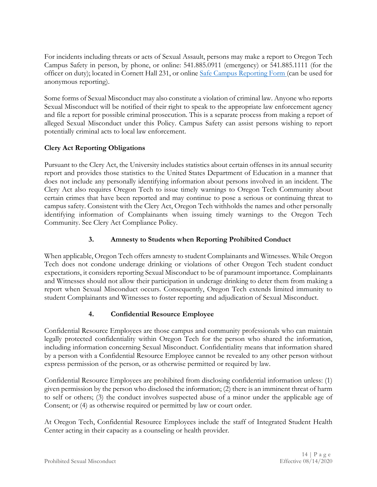For incidents including threats or acts of Sexual Assault, persons may make a report to Oregon Tech Campus Safety in person, by phone, or online: 541.885.0911 (emergency) or 541.885.1111 (for the officer on duty); located in Cornett Hall 231, or online [Safe Campus Reporting Form](https://www.oit.edu/campus-life/safe-campus) (can be used for anonymous reporting).

Some forms of Sexual Misconduct may also constitute a violation of criminal law. Anyone who reports Sexual Misconduct will be notified of their right to speak to the appropriate law enforcement agency and file a report for possible criminal prosecution. This is a separate process from making a report of alleged Sexual Misconduct under this Policy. Campus Safety can assist persons wishing to report potentially criminal acts to local law enforcement.

### **Clery Act Reporting Obligations**

Pursuant to the Clery Act, the University includes statistics about certain offenses in its annual security report and provides those statistics to the United States Department of Education in a manner that does not include any personally identifying information about persons involved in an incident. The Clery Act also requires Oregon Tech to issue timely warnings to Oregon Tech Community about certain crimes that have been reported and may continue to pose a serious or continuing threat to campus safety. Consistent with the Clery Act, Oregon Tech withholds the names and other personally identifying information of Complainants when issuing timely warnings to the Oregon Tech Community. See Clery Act Compliance Policy.

## **3. Amnesty to Students when Reporting Prohibited Conduct**

When applicable, Oregon Tech offers amnesty to student Complainants and Witnesses. While Oregon Tech does not condone underage drinking or violations of other Oregon Tech student conduct expectations, it considers reporting Sexual Misconduct to be of paramount importance. Complainants and Witnesses should not allow their participation in underage drinking to deter them from making a report when Sexual Misconduct occurs. Consequently, Oregon Tech extends limited immunity to student Complainants and Witnesses to foster reporting and adjudication of Sexual Misconduct.

## **4. Confidential Resource Employee**

Confidential Resource Employees are those campus and community professionals who can maintain legally protected confidentiality within Oregon Tech for the person who shared the information, including information concerning Sexual Misconduct. Confidentiality means that information shared by a person with a Confidential Resource Employee cannot be revealed to any other person without express permission of the person, or as otherwise permitted or required by law.

Confidential Resource Employees are prohibited from disclosing confidential information unless: (1) given permission by the person who disclosed the information; (2) there is an imminent threat of harm to self or others; (3) the conduct involves suspected abuse of a minor under the applicable age of Consent; or (4) as otherwise required or permitted by law or court order.

At Oregon Tech, Confidential Resource Employees include the staff of Integrated Student Health Center acting in their capacity as a counseling or health provider.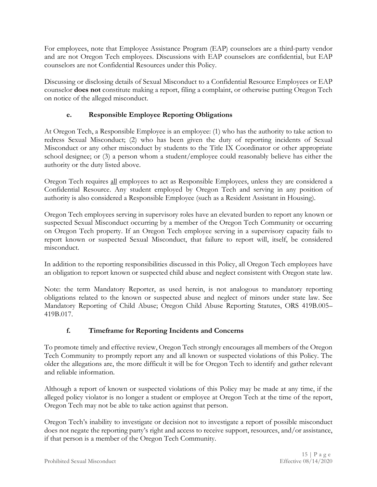For employees, note that Employee Assistance Program (EAP) counselors are a third-party vendor and are not Oregon Tech employees. Discussions with EAP counselors are confidential, but EAP counselors are not Confidential Resources under this Policy.

Discussing or disclosing details of Sexual Misconduct to a Confidential Resource Employees or EAP counselor **does not** constitute making a report, filing a complaint, or otherwise putting Oregon Tech on notice of the alleged misconduct.

## **e. Responsible Employee Reporting Obligations**

At Oregon Tech, a Responsible Employee is an employee: (1) who has the authority to take action to redress Sexual Misconduct; (2) who has been given the duty of reporting incidents of Sexual Misconduct or any other misconduct by students to the Title IX Coordinator or other appropriate school designee; or (3) a person whom a student/employee could reasonably believe has either the authority or the duty listed above.

Oregon Tech requires all employees to act as Responsible Employees, unless they are considered a Confidential Resource. Any student employed by Oregon Tech and serving in any position of authority is also considered a Responsible Employee (such as a Resident Assistant in Housing).

Oregon Tech employees serving in supervisory roles have an elevated burden to report any known or suspected Sexual Misconduct occurring by a member of the Oregon Tech Community or occurring on Oregon Tech property. If an Oregon Tech employee serving in a supervisory capacity fails to report known or suspected Sexual Misconduct, that failure to report will, itself, be considered misconduct.

In addition to the reporting responsibilities discussed in this Policy, all Oregon Tech employees have an obligation to report known or suspected child abuse and neglect consistent with Oregon state law.

Note: the term Mandatory Reporter, as used herein, is not analogous to mandatory reporting obligations related to the known or suspected abuse and neglect of minors under state law. See Mandatory Reporting of Child Abuse; Oregon Child Abuse Reporting Statutes, ORS 419B.005– 419B.017.

## **f. Timeframe for Reporting Incidents and Concerns**

To promote timely and effective review, Oregon Tech strongly encourages all members of the Oregon Tech Community to promptly report any and all known or suspected violations of this Policy. The older the allegations are, the more difficult it will be for Oregon Tech to identify and gather relevant and reliable information.

Although a report of known or suspected violations of this Policy may be made at any time, if the alleged policy violator is no longer a student or employee at Oregon Tech at the time of the report, Oregon Tech may not be able to take action against that person.

Oregon Tech's inability to investigate or decision not to investigate a report of possible misconduct does not negate the reporting party's right and access to receive support, resources, and/or assistance, if that person is a member of the Oregon Tech Community.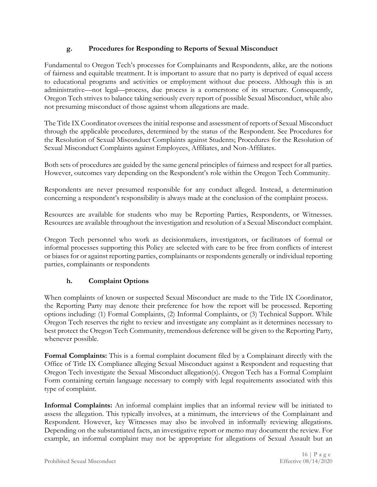### **g. Procedures for Responding to Reports of Sexual Misconduct**

Fundamental to Oregon Tech's processes for Complainants and Respondents, alike, are the notions of fairness and equitable treatment. It is important to assure that no party is deprived of equal access to educational programs and activities or employment without due process. Although this is an administrative—not legal—process, due process is a cornerstone of its structure. Consequently, Oregon Tech strives to balance taking seriously every report of possible Sexual Misconduct, while also not presuming misconduct of those against whom allegations are made.

The Title IX Coordinator oversees the initial response and assessment of reports of Sexual Misconduct through the applicable procedures, determined by the status of the Respondent. See Procedures for the Resolution of Sexual Misconduct Complaints against Students; Procedures for the Resolution of Sexual Misconduct Complaints against Employees, Affiliates, and Non-Affiliates.

Both sets of procedures are guided by the same general principles of fairness and respect for all parties. However, outcomes vary depending on the Respondent's role within the Oregon Tech Community.

Respondents are never presumed responsible for any conduct alleged. Instead, a determination concerning a respondent's responsibility is always made at the conclusion of the complaint process.

Resources are available for students who may be Reporting Parties, Respondents, or Witnesses. Resources are available throughout the investigation and resolution of a Sexual Misconduct complaint.

Oregon Tech personnel who work as decisionmakers, investigators, or facilitators of formal or informal processes supporting this Policy are selected with care to be free from conflicts of interest or biases for or against reporting parties, complainants or respondents generally or individual reporting parties, complainants or respondents

## **h. Complaint Options**

When complaints of known or suspected Sexual Misconduct are made to the Title IX Coordinator, the Reporting Party may denote their preference for how the report will be processed. Reporting options including: (1) Formal Complaints, (2) Informal Complaints, or (3) Technical Support. While Oregon Tech reserves the right to review and investigate any complaint as it determines necessary to best protect the Oregon Tech Community, tremendous deference will be given to the Reporting Party, whenever possible.

**Formal Complaints:** This is a formal complaint document filed by a Complainant directly with the Office of Title IX Compliance alleging Sexual Misconduct against a Respondent and requesting that Oregon Tech investigate the Sexual Misconduct allegation(s). Oregon Tech has a Formal Complaint Form containing certain language necessary to comply with legal requirements associated with this type of complaint.

**Informal Complaints:** An informal complaint implies that an informal review will be initiated to assess the allegation. This typically involves, at a minimum, the interviews of the Complainant and Respondent. However, key Witnesses may also be involved in informally reviewing allegations. Depending on the substantiated facts, an investigative report or memo may document the review. For example, an informal complaint may not be appropriate for allegations of Sexual Assault but an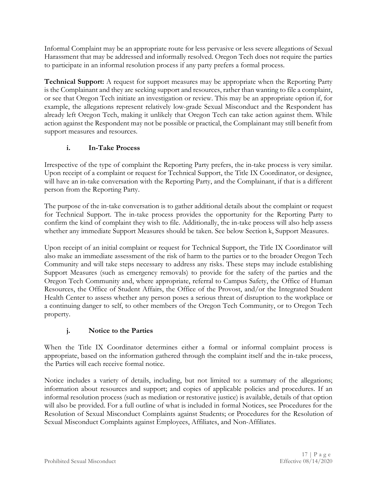Informal Complaint may be an appropriate route for less pervasive or less severe allegations of Sexual Harassment that may be addressed and informally resolved. Oregon Tech does not require the parties to participate in an informal resolution process if any party prefers a formal process.

**Technical Support:** A request for support measures may be appropriate when the Reporting Party is the Complainant and they are seeking support and resources, rather than wanting to file a complaint, or see that Oregon Tech initiate an investigation or review. This may be an appropriate option if, for example, the allegations represent relatively low-grade Sexual Misconduct and the Respondent has already left Oregon Tech, making it unlikely that Oregon Tech can take action against them. While action against the Respondent may not be possible or practical, the Complainant may still benefit from support measures and resources.

## **i. In-Take Process**

Irrespective of the type of complaint the Reporting Party prefers, the in-take process is very similar. Upon receipt of a complaint or request for Technical Support, the Title IX Coordinator, or designee, will have an in-take conversation with the Reporting Party, and the Complainant, if that is a different person from the Reporting Party.

The purpose of the in-take conversation is to gather additional details about the complaint or request for Technical Support. The in-take process provides the opportunity for the Reporting Party to confirm the kind of complaint they wish to file. Additionally, the in-take process will also help assess whether any immediate Support Measures should be taken. See below Section k, Support Measures.

Upon receipt of an initial complaint or request for Technical Support, the Title IX Coordinator will also make an immediate assessment of the risk of harm to the parties or to the broader Oregon Tech Community and will take steps necessary to address any risks. These steps may include establishing Support Measures (such as emergency removals) to provide for the safety of the parties and the Oregon Tech Community and, where appropriate, referral to Campus Safety, the Office of Human Resources, the Office of Student Affairs, the Office of the Provost, and/or the Integrated Student Health Center to assess whether any person poses a serious threat of disruption to the workplace or a continuing danger to self, to other members of the Oregon Tech Community, or to Oregon Tech property.

# **j. Notice to the Parties**

When the Title IX Coordinator determines either a formal or informal complaint process is appropriate, based on the information gathered through the complaint itself and the in-take process, the Parties will each receive formal notice.

Notice includes a variety of details, including, but not limited to: a summary of the allegations; information about resources and support; and copies of applicable policies and procedures. If an informal resolution process (such as mediation or restorative justice) is available, details of that option will also be provided. For a full outline of what is included in formal Notices, see Procedures for the Resolution of Sexual Misconduct Complaints against Students; or Procedures for the Resolution of Sexual Misconduct Complaints against Employees, Affiliates, and Non-Affiliates.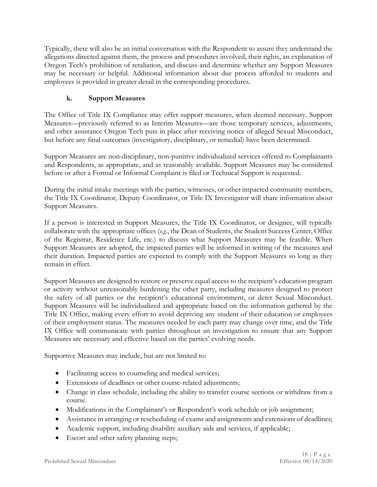Typically, there will also be an initial conversation with the Respondent to assure they understand the allegations directed against them, the process and procedures involved, their rights, an explanation of Oregon Tech's prohibition of retaliation, and discuss and determine whether any Support Measures may be necessary or helpful. Additional information about due process afforded to students and employees is provided in greater detail in the corresponding procedures.

## **k. Support Measures**

The Office of Title IX Compliance may offer support measures, when deemed necessary. Support Measures—previously referred to as Interim Measures—are those temporary services, adjustments, and other assistance Oregon Tech puts in place after receiving notice of alleged Sexual Misconduct, but before any final outcomes (investigatory, disciplinary, or remedial) have been determined.

Support Measures are non-disciplinary, non-punitive individualized services offered to Complainants and Respondents, as appropriate, and as reasonably available. Support Measures may be considered before or after a Formal or Informal Complaint is filed or Technical Support is requested.

During the initial intake meetings with the parties, witnesses, or other impacted community members, the Title IX Coordinator, Deputy Coordinator, or Title IX Investigator will share information about Support Measures.

If a person is interested in Support Measures, the Title IX Coordinator, or designee, will typically collaborate with the appropriate offices (*e.g.*, the Dean of Students, the Student Success Center, Office of the Registrar, Residence Life, etc.) to discuss what Support Measures may be feasible. When Support Measures are adopted, the impacted parties will be informed in writing of the measures and their duration. Impacted parties are expected to comply with the Support Measures so long as they remain in effect.

Support Measures are designed to restore or preserve equal access to the recipient's education program or activity without unreasonably burdening the other party, including measures designed to protect the safety of all parties or the recipient's educational environment, or deter Sexual Misconduct. Support Measures will be individualized and appropriate based on the information gathered by the Title IX Office, making every effort to avoid depriving any student of their education or employees of their employment status. The measures needed by each party may change over time, and the Title IX Office will communicate with parties throughout an investigation to ensure that any Support Measures are necessary and effective based on the parties' evolving needs.

Supportive Measures may include, but are not limited to:

- Facilitating access to counseling and medical services;
- Extensions of deadlines or other course-related adjustments;
- Change in class schedule, including the ability to transfer course sections or withdraw from a course.
- Modifications in the Complainant's or Respondent's work schedule or job assignment;
- Assistance in arranging or rescheduling of exams and assignments and extensions of deadlines;
- Academic support, including disability auxiliary aids and services, if applicable;
- Escort and other safety planning steps;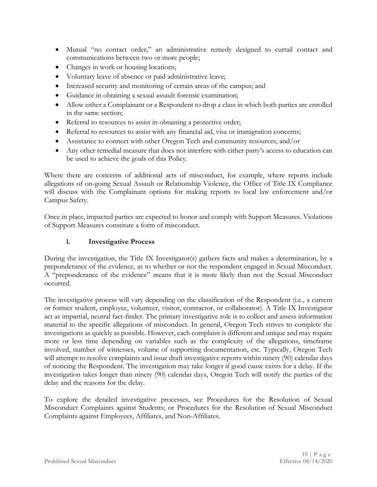- Mutual "no contact order," an administrative remedy designed to curtail contact and communications between two or more people;
- Changes in work or housing locations;
- Voluntary leave of absence or paid administrative leave;
- Increased security and monitoring of certain areas of the campus; and
- Guidance in obtaining a sexual assault forensic examination;
- Allow either a Complainant or a Respondent to drop a class in which both parties are enrolled in the same section;
- Referral to resources to assist in obtaining a protective order;
- Referral to resources to assist with any financial aid, visa or immigration concerns;
- Assistance to connect with other Oregon Tech and community resources; and/or
- Any other remedial measure that does not interfere with either party's access to education can be used to achieve the goals of this Policy.

Where there are concerns of additional acts of misconduct, for example, where reports include allegations of on-going Sexual Assault or Relationship Violence, the Office of Title IX Compliance will discuss with the Complainant options for making reports to local law enforcement and/or Campus Safety.

Once in place, impacted parties are expected to honor and comply with Support Measures. Violations of Support Measures constitute a form of misconduct.

### **l. Investigative Process**

During the investigation, the Title IX Investigator(s) gathers facts and makes a determination, by a preponderance of the evidence, as to whether or not the respondent engaged in Sexual Misconduct. A "preponderance of the evidence" means that it is more likely than not the Sexual Misconduct occurred.

The investigative process will vary depending on the classification of the Respondent (i.e., a current or former student, employee, volunteer, visitor, contractor, or collaborator). A Title IX Investigator act as impartial, neutral fact-finder. The primary investigative role is to collect and assess information material to the specific allegations of misconduct. In general, Oregon Tech strives to complete the investigations as quickly as possible. However, each complaint is different and unique and may require more or less time depending on variables such as the complexity of the allegations, timeframe involved, number of witnesses, volume of supporting documentation, etc. Typically, Oregon Tech will attempt to resolve complaints and issue draft investigative reports within ninety (90) calendar days of noticing the Respondent. The investigation may take longer if good cause exists for a delay. If the investigation takes longer than ninety (90) calendar days, Oregon Tech will notify the parties of the delay and the reasons for the delay.

To explore the detailed investigative processes, see Procedures for the Resolution of Sexual Misconduct Complaints against Students; or Procedures for the Resolution of Sexual Misconduct Complaints against Employees, Affiliates, and Non-Affiliates.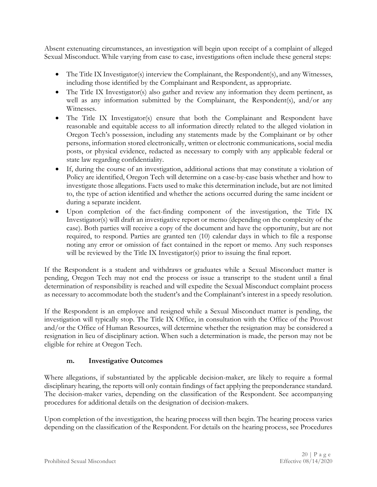Absent extenuating circumstances, an investigation will begin upon receipt of a complaint of alleged Sexual Misconduct. While varying from case to case, investigations often include these general steps:

- The Title IX Investigator(s) interview the Complainant, the Respondent(s), and any Witnesses, including those identified by the Complainant and Respondent, as appropriate.
- The Title IX Investigator(s) also gather and review any information they deem pertinent, as well as any information submitted by the Complainant, the Respondent(s), and/or any Witnesses.
- The Title IX Investigator(s) ensure that both the Complainant and Respondent have reasonable and equitable access to all information directly related to the alleged violation in Oregon Tech's possession, including any statements made by the Complainant or by other persons, information stored electronically, written or electronic communications, social media posts, or physical evidence, redacted as necessary to comply with any applicable federal or state law regarding confidentiality.
- If, during the course of an investigation, additional actions that may constitute a violation of Policy are identified, Oregon Tech will determine on a case-by-case basis whether and how to investigate those allegations. Facts used to make this determination include, but are not limited to, the type of action identified and whether the actions occurred during the same incident or during a separate incident.
- Upon completion of the fact-finding component of the investigation, the Title IX Investigator(s) will draft an investigative report or memo (depending on the complexity of the case). Both parties will receive a copy of the document and have the opportunity, but are not required, to respond. Parties are granted ten (10) calendar days in which to file a response noting any error or omission of fact contained in the report or memo. Any such responses will be reviewed by the Title IX Investigator(s) prior to issuing the final report.

If the Respondent is a student and withdraws or graduates while a Sexual Misconduct matter is pending, Oregon Tech may not end the process or issue a transcript to the student until a final determination of responsibility is reached and will expedite the Sexual Misconduct complaint process as necessary to accommodate both the student's and the Complainant's interest in a speedy resolution.

If the Respondent is an employee and resigned while a Sexual Misconduct matter is pending, the investigation will typically stop. The Title IX Office, in consultation with the Office of the Provost and/or the Office of Human Resources, will determine whether the resignation may be considered a resignation in lieu of disciplinary action. When such a determination is made, the person may not be eligible for rehire at Oregon Tech.

### **m. Investigative Outcomes**

Where allegations, if substantiated by the applicable decision-maker, are likely to require a formal disciplinary hearing, the reports will only contain findings of fact applying the preponderance standard. The decision-maker varies, depending on the classification of the Respondent. See accompanying procedures for additional details on the designation of decision-makers.

Upon completion of the investigation, the hearing process will then begin. The hearing process varies depending on the classification of the Respondent. For details on the hearing process, see Procedures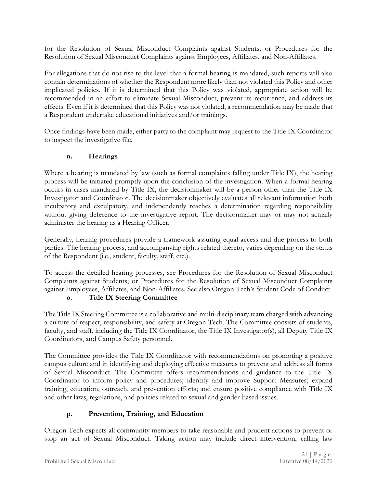for the Resolution of Sexual Misconduct Complaints against Students; or Procedures for the Resolution of Sexual Misconduct Complaints against Employees, Affiliates, and Non-Affiliates.

For allegations that do not rise to the level that a formal hearing is mandated, such reports will also contain determinations of whether the Respondent more likely than not violated this Policy and other implicated policies. If it is determined that this Policy was violated, appropriate action will be recommended in an effort to eliminate Sexual Misconduct, prevent its recurrence, and address its effects. Even if it is determined that this Policy was not violated, a recommendation may be made that a Respondent undertake educational initiatives and/or trainings.

Once findings have been made, either party to the complaint may request to the Title IX Coordinator to inspect the investigative file.

### **n. Hearings**

Where a hearing is mandated by law (such as formal complaints falling under Title IX), the hearing process will be initiated promptly upon the conclusion of the investigation. When a formal hearing occurs in cases mandated by Title IX, the decisionmaker will be a person other than the Title IX Investigator and Coordinator. The decisionmaker objectively evaluates all relevant information both inculpatory and exculpatory, and independently reaches a determination regarding responsibility without giving deference to the investigative report. The decisionmaker may or may not actually administer the hearing as a Hearing Officer.

Generally, hearing procedures provide a framework assuring equal access and due process to both parties. The hearing process, and accompanying rights related thereto, varies depending on the status of the Respondent (i.e., student, faculty, staff, etc.).

To access the detailed hearing processes, see Procedures for the Resolution of Sexual Misconduct Complaints against Students; or Procedures for the Resolution of Sexual Misconduct Complaints against Employees, Affiliates, and Non-Affiliates. See also Oregon Tech's Student Code of Conduct.

#### **o. Title IX Steering Committee**

The Title IX Steering Committee is a collaborative and multi-disciplinary team charged with advancing a culture of respect, responsibility, and safety at Oregon Tech. The Committee consists of students, faculty, and staff, including the Title IX Coordinator, the Title IX Investigator(s), all Deputy Title IX Coordinators, and Campus Safety personnel.

The Committee provides the Title IX Coordinator with recommendations on promoting a positive campus culture and in identifying and deploying effective measures to prevent and address all forms of Sexual Misconduct. The Committee offers recommendations and guidance to the Title IX Coordinator to inform policy and procedures; identify and improve Support Measures; expand training, education, outreach, and prevention efforts; and ensure positive compliance with Title IX and other laws, regulations, and policies related to sexual and gender-based issues.

### **p. Prevention, Training, and Education**

Oregon Tech expects all community members to take reasonable and prudent actions to prevent or stop an act of Sexual Misconduct. Taking action may include direct intervention, calling law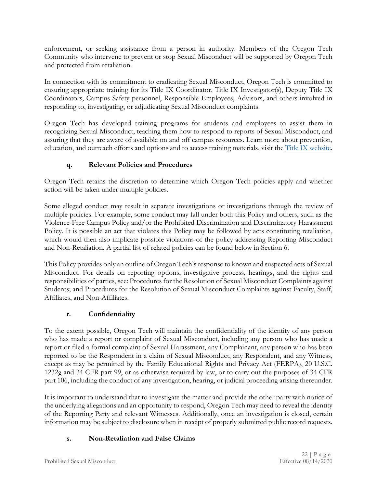enforcement, or seeking assistance from a person in authority. Members of the Oregon Tech Community who intervene to prevent or stop Sexual Misconduct will be supported by Oregon Tech and protected from retaliation.

In connection with its commitment to eradicating Sexual Misconduct, Oregon Tech is committed to ensuring appropriate training for its Title IX Coordinator, Title IX Investigator(s), Deputy Title IX Coordinators, Campus Safety personnel, Responsible Employees, Advisors, and others involved in responding to, investigating, or adjudicating Sexual Misconduct complaints.

Oregon Tech has developed training programs for students and employees to assist them in recognizing Sexual Misconduct, teaching them how to respond to reports of Sexual Misconduct, and assuring that they are aware of available on and off campus resources. Learn more about prevention, education, and outreach efforts and options and to access training materials, visit the [Title IX website.](https://www.oit.edu/title-ix)

## **q. Relevant Policies and Procedures**

Oregon Tech retains the discretion to determine which Oregon Tech policies apply and whether action will be taken under multiple policies.

Some alleged conduct may result in separate investigations or investigations through the review of multiple policies. For example, some conduct may fall under both this Policy and others, such as the Violence-Free Campus Policy and/or the Prohibited Discrimination and Discriminatory Harassment Policy. It is possible an act that violates this Policy may be followed by acts constituting retaliation, which would then also implicate possible violations of the policy addressing Reporting Misconduct and Non-Retaliation. A partial list of related policies can be found below in Section 6.

This Policy provides only an outline of Oregon Tech's response to known and suspected acts of Sexual Misconduct. For details on reporting options, investigative process, hearings, and the rights and responsibilities of parties, see: Procedures for the Resolution of Sexual Misconduct Complaints against Students; and Procedures for the Resolution of Sexual Misconduct Complaints against Faculty, Staff, Affiliates, and Non-Affiliates.

# **r. Confidentiality**

To the extent possible, Oregon Tech will maintain the confidentiality of the identity of any person who has made a report or complaint of Sexual Misconduct, including any person who has made a report or filed a formal complaint of Sexual Harassment, any Complainant, any person who has been reported to be the Respondent in a claim of Sexual Misconduct, any Respondent, and any Witness, except as may be permitted by the Family Educational Rights and Privacy Act (FERPA), 20 U.S.C. 1232g and 34 CFR part 99, or as otherwise required by law, or to carry out the purposes of 34 CFR part 106, including the conduct of any investigation, hearing, or judicial proceeding arising thereunder.

It is important to understand that to investigate the matter and provide the other party with notice of the underlying allegations and an opportunity to respond, Oregon Tech may need to reveal the identity of the Reporting Party and relevant Witnesses. Additionally, once an investigation is closed, certain information may be subject to disclosure when in receipt of properly submitted public record requests.

# **s. Non-Retaliation and False Claims**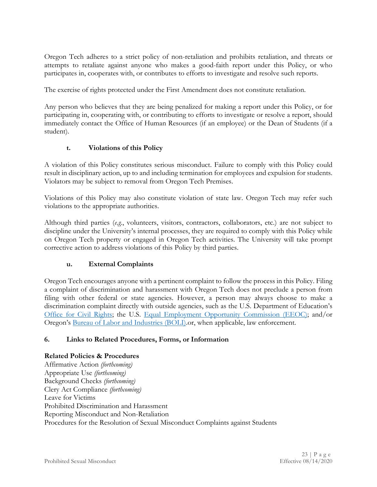Oregon Tech adheres to a strict policy of non-retaliation and prohibits retaliation, and threats or attempts to retaliate against anyone who makes a good-faith report under this Policy, or who participates in, cooperates with, or contributes to efforts to investigate and resolve such reports.

The exercise of rights protected under the First Amendment does not constitute retaliation.

Any person who believes that they are being penalized for making a report under this Policy, or for participating in, cooperating with, or contributing to efforts to investigate or resolve a report, should immediately contact the Office of Human Resources (if an employee) or the Dean of Students (if a student).

#### **t. Violations of this Policy**

A violation of this Policy constitutes serious misconduct. Failure to comply with this Policy could result in disciplinary action, up to and including termination for employees and expulsion for students. Violators may be subject to removal from Oregon Tech Premises.

Violations of this Policy may also constitute violation of state law. Oregon Tech may refer such violations to the appropriate authorities.

Although third parties (*e.g.*, volunteers, visitors, contractors, collaborators, etc.) are not subject to discipline under the University's internal processes, they are required to comply with this Policy while on Oregon Tech property or engaged in Oregon Tech activities. The University will take prompt corrective action to address violations of this Policy by third parties.

#### **u. External Complaints**

Oregon Tech encourages anyone with a pertinent complaint to follow the process in this Policy. Filing a complaint of discrimination and harassment with Oregon Tech does not preclude a person from filing with other federal or state agencies. However, a person may always choose to make a discrimination complaint directly with outside agencies, such as the U.S. Department of Education's [Office for Civil Rights;](https://www2.ed.gov/about/offices/list/ocr/docs/howto.html) the U.S. [Equal Employment Opportunity Commission \(EEOC\);](https://www.eeoc.gov/youth/how-file-complaint) and/or Oregon's [Bureau of Labor and Industries \(BOLI\).](https://www.oregon.gov/boli/workers/Pages/complaint.aspx)or, when applicable, law enforcement.

#### **6. Links to Related Procedures, Forms, or Information**

#### **Related Policies & Procedures**

Affirmative Action *(forthcoming)* Appropriate Use *(forthcoming)* Background Checks *(forthcoming)* Clery Act Compliance *(forthcoming)* Leave for Victims Prohibited Discrimination and Harassment Reporting Misconduct and Non-Retaliation Procedures for the Resolution of Sexual Misconduct Complaints against Students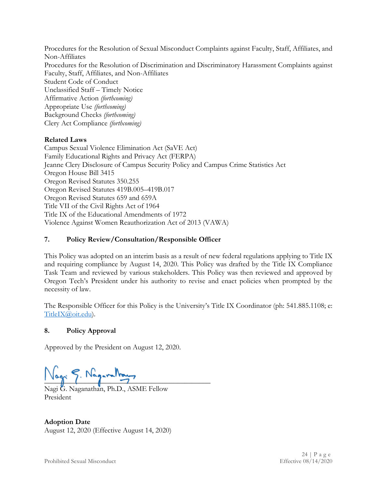Procedures for the Resolution of Sexual Misconduct Complaints against Faculty, Staff, Affiliates, and Non-Affiliates Procedures for the Resolution of Discrimination and Discriminatory Harassment Complaints against Faculty, Staff, Affiliates, and Non-Affiliates Student Code of Conduct Unclassified Staff – Timely Notice Affirmative Action *(forthcoming)* Appropriate Use *(forthcoming)* Background Checks *(forthcoming)* Clery Act Compliance *(forthcoming)*

#### **Related Laws**

Campus Sexual Violence Elimination Act (SaVE Act) Family Educational Rights and Privacy Act (FERPA) Jeanne Clery Disclosure of Campus Security Policy and Campus Crime Statistics Act Oregon House Bill 3415 Oregon Revised Statutes 350.255 Oregon Revised Statutes 419B.005–419B.017 Oregon Revised Statutes 659 and 659A Title VII of the Civil Rights Act of 1964 Title IX of the Educational Amendments of 1972 Violence Against Women Reauthorization Act of 2013 (VAWA)

#### **7. Policy Review/Consultation/Responsible Officer**

This Policy was adopted on an interim basis as a result of new federal regulations applying to Title IX and requiring compliance by August 14, 2020. This Policy was drafted by the Title IX Compliance Task Team and reviewed by various stakeholders. This Policy was then reviewed and approved by Oregon Tech's President under his authority to revise and enact policies when prompted by the necessity of law.

The Responsible Officer for this Policy is the University's Title IX Coordinator (ph: 541.885.1108; e: [TitleIX@oit.edu\)](mailto:TitleIX@oit.edu).

#### **8. Policy Approval**

Approved by the President on August 12, 2020.

 $\Box$ 

Nagi G. Naganathan, Ph.D., ASME Fellow President

**Adoption Date** August 12, 2020 (Effective August 14, 2020)